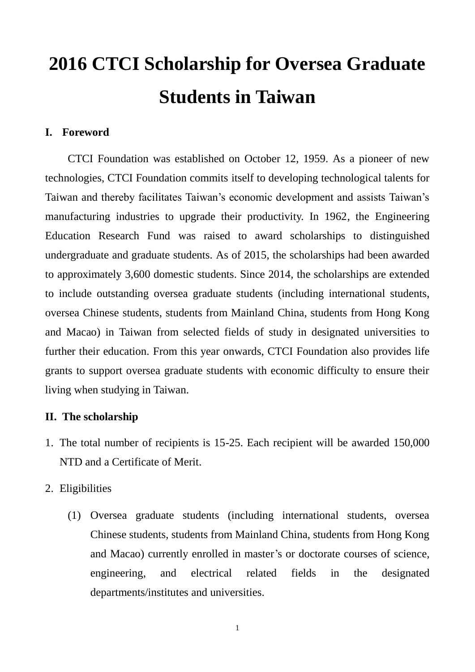# **2016 CTCI Scholarship for Oversea Graduate Students in Taiwan**

#### **I. Foreword**

CTCI Foundation was established on October 12, 1959. As a pioneer of new technologies, CTCI Foundation commits itself to developing technological talents for Taiwan and thereby facilitates Taiwan's economic development and assists Taiwan's manufacturing industries to upgrade their productivity. In 1962, the Engineering Education Research Fund was raised to award scholarships to distinguished undergraduate and graduate students. As of 2015, the scholarships had been awarded to approximately 3,600 domestic students. Since 2014, the scholarships are extended to include outstanding oversea graduate students (including international students, oversea Chinese students, students from Mainland China, students from Hong Kong and Macao) in Taiwan from selected fields of study in designated universities to further their education. From this year onwards, CTCI Foundation also provides life grants to support oversea graduate students with economic difficulty to ensure their living when studying in Taiwan.

### **II. The scholarship**

- 1. The total number of recipients is 15-25. Each recipient will be awarded 150,000 NTD and a Certificate of Merit.
- 2. Eligibilities
	- (1) Oversea graduate students (including international students, oversea Chinese students, students from Mainland China, students from Hong Kong and Macao) currently enrolled in master's or doctorate courses of science, engineering, and electrical related fields in the designated departments/institutes and universities.

1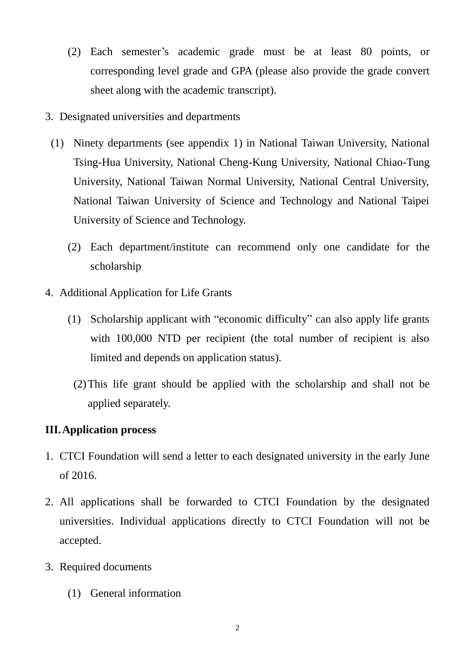- (2) Each semester's academic grade must be at least 80 points, or corresponding level grade and GPA (please also provide the grade convert sheet along with the academic transcript).
- 3. Designated universities and departments
- (1) Ninety departments (see appendix 1) in National Taiwan University, National Tsing-Hua University, National Cheng-Kung University, National Chiao-Tung University, National Taiwan Normal University, National Central University, National Taiwan University of Science and Technology and National Taipei University of Science and Technology.
	- (2) Each department/institute can recommend only one candidate for the scholarship
- 4. Additional Application for Life Grants
	- (1) Scholarship applicant with "economic difficulty" can also apply life grants with 100,000 NTD per recipient (the total number of recipient is also limited and depends on application status).
	- (2)This life grant should be applied with the scholarship and shall not be applied separately.

## **III.Application process**

- 1. CTCI Foundation will send a letter to each designated university in the early June of 2016.
- 2. All applications shall be forwarded to CTCI Foundation by the designated universities. Individual applications directly to CTCI Foundation will not be accepted.
- 3. Required documents
	- (1) General information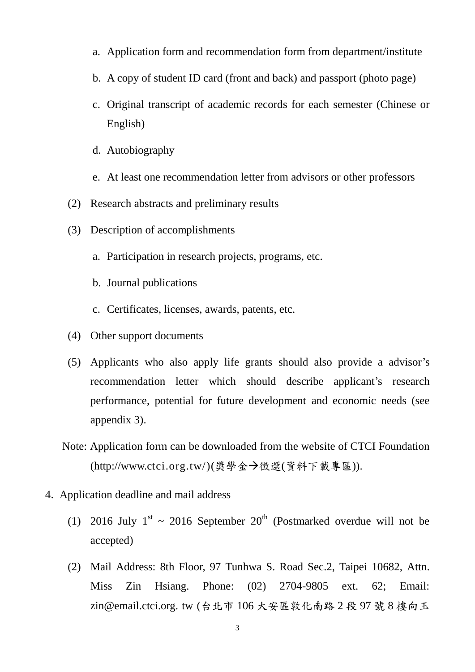- a. Application form and recommendation form from department/institute
- b. A copy of student ID card (front and back) and passport (photo page)
- c. Original transcript of academic records for each semester (Chinese or English)
- d. Autobiography
- e. At least one recommendation letter from advisors or other professors
- (2) Research abstracts and preliminary results
- (3) Description of accomplishments
	- a. Participation in research projects, programs, etc.
	- b. Journal publications
	- c. Certificates, licenses, awards, patents, etc.
- (4) Other support documents
- (5) Applicants who also apply life grants should also provide a advisor's recommendation letter which should describe applicant's research performance, potential for future development and economic needs (see appendix 3).
- Note: Application form can be downloaded from the website of CTCI Foundation (http://www.ctci.org.tw/)(獎學金→徵選(資料下載專區)).
- 4. Application deadline and mail address
	- (1) 2016 July  $1^{st} \sim 2016$  September  $20^{th}$  (Postmarked overdue will not be accepted)
	- (2) Mail Address: 8th Floor, 97 Tunhwa S. Road Sec.2, Taipei 10682, Attn. Miss Zin Hsiang. Phone: (02) 2704-9805 ext. 62; Email: zin@email.ctci.org. tw (台北市 106 大安區敦化南路 2 段 97 號 8 樓向玉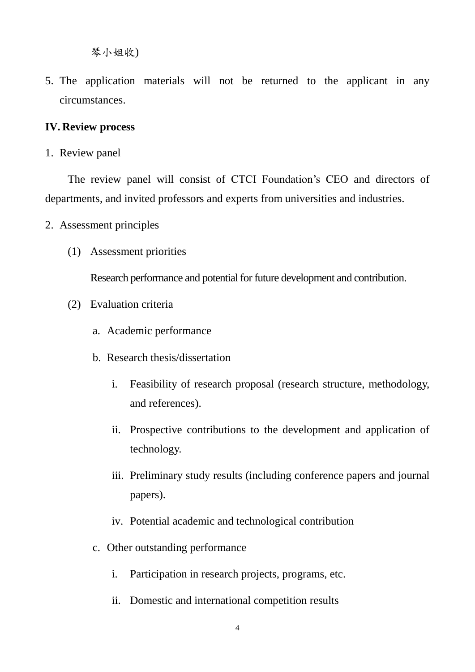琴小姐收)

5. The application materials will not be returned to the applicant in any circumstances.

## **IV. Review process**

1. Review panel

The review panel will consist of CTCI Foundation's CEO and directors of departments, and invited professors and experts from universities and industries.

- 2. Assessment principles
	- (1) Assessment priorities

Research performance and potential for future development and contribution.

- (2) Evaluation criteria
	- a. Academic performance
	- b. Research thesis/dissertation
		- i. Feasibility of research proposal (research structure, methodology, and references).
		- ii. Prospective contributions to the development and application of technology.
		- iii. Preliminary study results (including conference papers and journal papers).
		- iv. Potential academic and technological contribution
	- c. Other outstanding performance
		- i. Participation in research projects, programs, etc.
		- ii. Domestic and international competition results